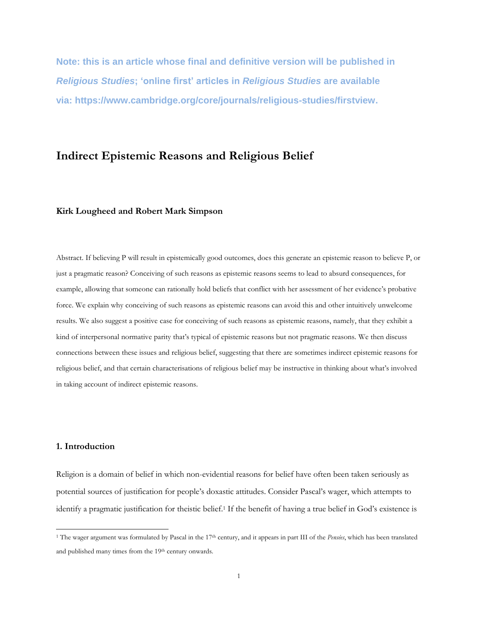**Note: this is an article whose final and definitive version will be published in**  *Religious Studies***; 'online first' articles in** *Religious Studies* **are available via: https://www.cambridge.org/core/journals/religious-studies/firstview.**

# **Indirect Epistemic Reasons and Religious Belief**

## **Kirk Lougheed and Robert Mark Simpson**

Abstract. If believing P will result in epistemically good outcomes, does this generate an epistemic reason to believe P, or just a pragmatic reason? Conceiving of such reasons as epistemic reasons seems to lead to absurd consequences, for example, allowing that someone can rationally hold beliefs that conflict with her assessment of her evidence's probative force. We explain why conceiving of such reasons as epistemic reasons can avoid this and other intuitively unwelcome results. We also suggest a positive case for conceiving of such reasons as epistemic reasons, namely, that they exhibit a kind of interpersonal normative parity that's typical of epistemic reasons but not pragmatic reasons. We then discuss connections between these issues and religious belief, suggesting that there are sometimes indirect epistemic reasons for religious belief, and that certain characterisations of religious belief may be instructive in thinking about what's involved in taking account of indirect epistemic reasons.

# **1. Introduction**

 $\overline{a}$ 

Religion is a domain of belief in which non-evidential reasons for belief have often been taken seriously as potential sources of justification for people's doxastic attitudes. Consider Pascal's wager, which attempts to identify a pragmatic justification for theistic belief. <sup>1</sup> If the benefit of having a true belief in God's existence is

<sup>&</sup>lt;sup>1</sup> The wager argument was formulated by Pascal in the 17<sup>th</sup> century, and it appears in part III of the *Pensées*, which has been translated and published many times from the 19th century onwards.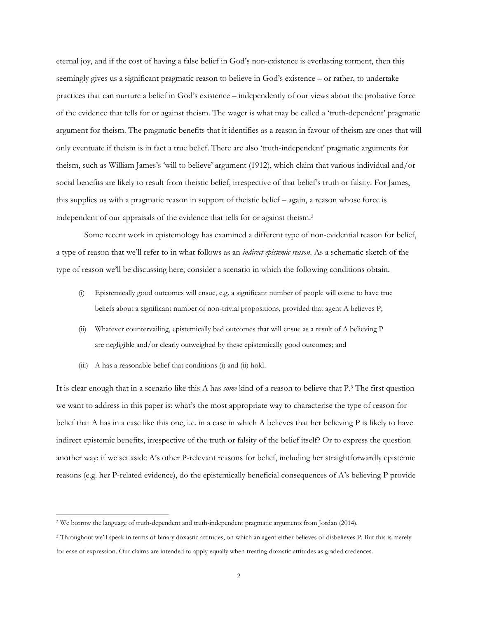eternal joy, and if the cost of having a false belief in God's non-existence is everlasting torment, then this seemingly gives us a significant pragmatic reason to believe in God's existence – or rather, to undertake practices that can nurture a belief in God's existence – independently of our views about the probative force of the evidence that tells for or against theism. The wager is what may be called a 'truth-dependent' pragmatic argument for theism. The pragmatic benefits that it identifies as a reason in favour of theism are ones that will only eventuate if theism is in fact a true belief. There are also 'truth-independent' pragmatic arguments for theism, such as William James's 'will to believe' argument (1912), which claim that various individual and/or social benefits are likely to result from theistic belief, irrespective of that belief's truth or falsity. For James, this supplies us with a pragmatic reason in support of theistic belief – again, a reason whose force is independent of our appraisals of the evidence that tells for or against theism. 2

Some recent work in epistemology has examined a different type of non-evidential reason for belief, a type of reason that we'll refer to in what follows as an *indirect epistemic reason*. As a schematic sketch of the type of reason we'll be discussing here, consider a scenario in which the following conditions obtain.

- (i) Epistemically good outcomes will ensue, e.g. a significant number of people will come to have true beliefs about a significant number of non-trivial propositions, provided that agent A believes P;
- (ii) Whatever countervailing, epistemically bad outcomes that will ensue as a result of A believing P are negligible and/or clearly outweighed by these epistemically good outcomes; and
- (iii) A has a reasonable belief that conditions (i) and (ii) hold.

l

It is clear enough that in a scenario like this A has *some* kind of a reason to believe that P.<sup>3</sup> The first question we want to address in this paper is: what's the most appropriate way to characterise the type of reason for belief that A has in a case like this one, i.e. in a case in which A believes that her believing P is likely to have indirect epistemic benefits, irrespective of the truth or falsity of the belief itself? Or to express the question another way: if we set aside A's other P-relevant reasons for belief, including her straightforwardly epistemic reasons (e.g. her P-related evidence), do the epistemically beneficial consequences of A's believing P provide

<sup>2</sup> We borrow the language of truth-dependent and truth-independent pragmatic arguments from Jordan (2014).

<sup>3</sup> Throughout we'll speak in terms of binary doxastic attitudes, on which an agent either believes or disbelieves P. But this is merely for ease of expression. Our claims are intended to apply equally when treating doxastic attitudes as graded credences.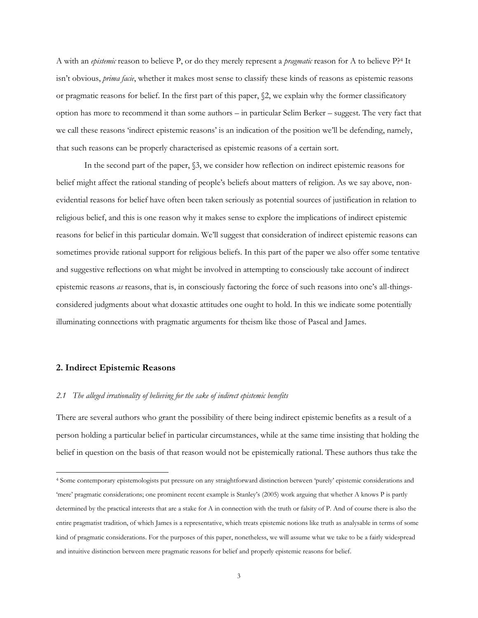A with an *epistemic* reason to believe P, or do they merely represent a *pragmatic* reason for A to believe P?<sup>4</sup> It isn't obvious, *prima facie*, whether it makes most sense to classify these kinds of reasons as epistemic reasons or pragmatic reasons for belief. In the first part of this paper, §2, we explain why the former classificatory option has more to recommend it than some authors – in particular Selim Berker – suggest. The very fact that we call these reasons 'indirect epistemic reasons' is an indication of the position we'll be defending, namely, that such reasons can be properly characterised as epistemic reasons of a certain sort.

In the second part of the paper, §3, we consider how reflection on indirect epistemic reasons for belief might affect the rational standing of people's beliefs about matters of religion. As we say above, nonevidential reasons for belief have often been taken seriously as potential sources of justification in relation to religious belief, and this is one reason why it makes sense to explore the implications of indirect epistemic reasons for belief in this particular domain. We'll suggest that consideration of indirect epistemic reasons can sometimes provide rational support for religious beliefs. In this part of the paper we also offer some tentative and suggestive reflections on what might be involved in attempting to consciously take account of indirect epistemic reasons *as* reasons, that is, in consciously factoring the force of such reasons into one's all-thingsconsidered judgments about what doxastic attitudes one ought to hold. In this we indicate some potentially illuminating connections with pragmatic arguments for theism like those of Pascal and James.

## **2. Indirect Epistemic Reasons**

 $\overline{\phantom{a}}$ 

# *2.1 The alleged irrationality of believing for the sake of indirect epistemic benefits*

There are several authors who grant the possibility of there being indirect epistemic benefits as a result of a person holding a particular belief in particular circumstances, while at the same time insisting that holding the belief in question on the basis of that reason would not be epistemically rational. These authors thus take the

<sup>4</sup> Some contemporary epistemologists put pressure on any straightforward distinction between 'purely' epistemic considerations and 'mere' pragmatic considerations; one prominent recent example is Stanley's (2005) work arguing that whether A knows P is partly determined by the practical interests that are a stake for A in connection with the truth or falsity of P. And of course there is also the entire pragmatist tradition, of which James is a representative, which treats epistemic notions like truth as analysable in terms of some kind of pragmatic considerations. For the purposes of this paper, nonetheless, we will assume what we take to be a fairly widespread and intuitive distinction between mere pragmatic reasons for belief and properly epistemic reasons for belief.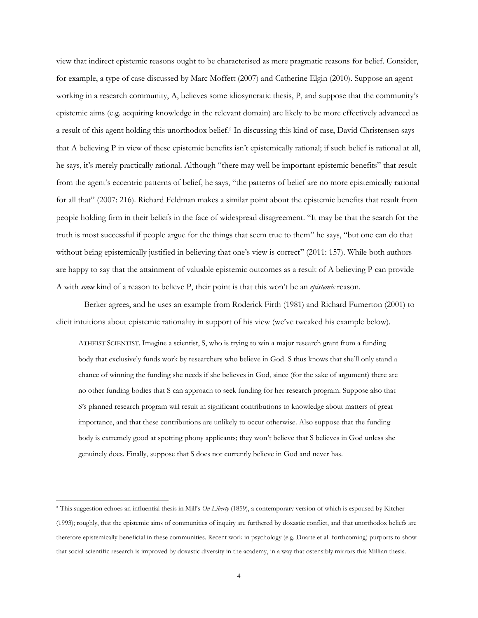view that indirect epistemic reasons ought to be characterised as mere pragmatic reasons for belief. Consider, for example, a type of case discussed by Marc Moffett (2007) and Catherine Elgin (2010). Suppose an agent working in a research community, A, believes some idiosyncratic thesis, P, and suppose that the community's epistemic aims (e.g. acquiring knowledge in the relevant domain) are likely to be more effectively advanced as a result of this agent holding this unorthodox belief.<sup>5</sup> In discussing this kind of case, David Christensen says that A believing P in view of these epistemic benefits isn't epistemically rational; if such belief is rational at all, he says, it's merely practically rational. Although "there may well be important epistemic benefits" that result from the agent's eccentric patterns of belief, he says, "the patterns of belief are no more epistemically rational for all that" (2007: 216). Richard Feldman makes a similar point about the epistemic benefits that result from people holding firm in their beliefs in the face of widespread disagreement. "It may be that the search for the truth is most successful if people argue for the things that seem true to them" he says, "but one can do that without being epistemically justified in believing that one's view is correct" (2011: 157). While both authors are happy to say that the attainment of valuable epistemic outcomes as a result of A believing P can provide A with *some* kind of a reason to believe P, their point is that this won't be an *epistemic* reason.

Berker agrees, and he uses an example from Roderick Firth (1981) and Richard Fumerton (2001) to elicit intuitions about epistemic rationality in support of his view (we've tweaked his example below).

ATHEIST SCIENTIST. Imagine a scientist, S, who is trying to win a major research grant from a funding body that exclusively funds work by researchers who believe in God. S thus knows that she'll only stand a chance of winning the funding she needs if she believes in God, since (for the sake of argument) there are no other funding bodies that S can approach to seek funding for her research program. Suppose also that S's planned research program will result in significant contributions to knowledge about matters of great importance, and that these contributions are unlikely to occur otherwise. Also suppose that the funding body is extremely good at spotting phony applicants; they won't believe that S believes in God unless she genuinely does. Finally, suppose that S does not currently believe in God and never has.

<sup>5</sup> This suggestion echoes an influential thesis in Mill's *On Liberty* (1859), a contemporary version of which is espoused by Kitcher (1993); roughly, that the epistemic aims of communities of inquiry are furthered by doxastic conflict, and that unorthodox beliefs are therefore epistemically beneficial in these communities. Recent work in psychology (e.g. Duarte et al. forthcoming) purports to show that social scientific research is improved by doxastic diversity in the academy, in a way that ostensibly mirrors this Millian thesis.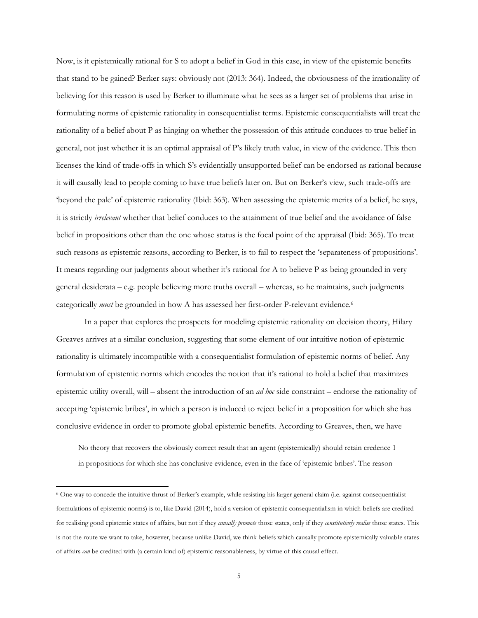Now, is it epistemically rational for S to adopt a belief in God in this case, in view of the epistemic benefits that stand to be gained? Berker says: obviously not (2013: 364). Indeed, the obviousness of the irrationality of believing for this reason is used by Berker to illuminate what he sees as a larger set of problems that arise in formulating norms of epistemic rationality in consequentialist terms. Epistemic consequentialists will treat the rationality of a belief about P as hinging on whether the possession of this attitude conduces to true belief in general, not just whether it is an optimal appraisal of P's likely truth value, in view of the evidence. This then licenses the kind of trade-offs in which S's evidentially unsupported belief can be endorsed as rational because it will causally lead to people coming to have true beliefs later on. But on Berker's view, such trade-offs are 'beyond the pale' of epistemic rationality (Ibid: 363). When assessing the epistemic merits of a belief, he says, it is strictly *irrelevant* whether that belief conduces to the attainment of true belief and the avoidance of false belief in propositions other than the one whose status is the focal point of the appraisal (Ibid: 365). To treat such reasons as epistemic reasons, according to Berker, is to fail to respect the 'separateness of propositions'. It means regarding our judgments about whether it's rational for A to believe P as being grounded in very general desiderata – e.g. people believing more truths overall – whereas, so he maintains, such judgments categorically *must* be grounded in how A has assessed her first-order P-relevant evidence.<sup>6</sup>

In a paper that explores the prospects for modeling epistemic rationality on decision theory, Hilary Greaves arrives at a similar conclusion, suggesting that some element of our intuitive notion of epistemic rationality is ultimately incompatible with a consequentialist formulation of epistemic norms of belief. Any formulation of epistemic norms which encodes the notion that it's rational to hold a belief that maximizes epistemic utility overall, will – absent the introduction of an *ad hoc* side constraint – endorse the rationality of accepting 'epistemic bribes', in which a person is induced to reject belief in a proposition for which she has conclusive evidence in order to promote global epistemic benefits. According to Greaves, then, we have

No theory that recovers the obviously correct result that an agent (epistemically) should retain credence 1 in propositions for which she has conclusive evidence, even in the face of 'epistemic bribes'. The reason

l

<sup>6</sup> One way to concede the intuitive thrust of Berker's example, while resisting his larger general claim (i.e. against consequentialist formulations of epistemic norms) is to, like David (2014), hold a version of epistemic consequentialism in which beliefs are credited for realising good epistemic states of affairs, but not if they *causally promote* those states, only if they *constitutively realise* those states. This is not the route we want to take, however, because unlike David, we think beliefs which causally promote epistemically valuable states of affairs *can* be credited with (a certain kind of) epistemic reasonableness, by virtue of this causal effect.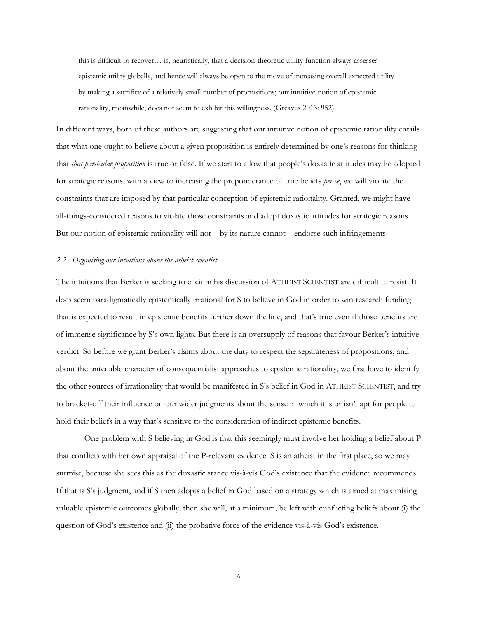this is difficult to recover… is, heuristically, that a decision-theoretic utility function always assesses epistemic utility globally, and hence will always be open to the move of increasing overall expected utility by making a sacrifice of a relatively small number of propositions; our intuitive notion of epistemic rationality, meanwhile, does not seem to exhibit this willingness. (Greaves 2013: 952)

In different ways, both of these authors are suggesting that our intuitive notion of epistemic rationality entails that what one ought to believe about a given proposition is entirely determined by one's reasons for thinking that *that particular proposition* is true or false. If we start to allow that people's doxastic attitudes may be adopted for strategic reasons, with a view to increasing the preponderance of true beliefs *per se*, we will violate the constraints that are imposed by that particular conception of epistemic rationality. Granted, we might have all-things-considered reasons to violate those constraints and adopt doxastic attitudes for strategic reasons. But our notion of epistemic rationality will not – by its nature cannot – endorse such infringements.

#### *2.2 Organising our intuitions about the atheist scientist*

The intuitions that Berker is seeking to elicit in his discussion of ATHEIST SCIENTIST are difficult to resist. It does seem paradigmatically epistemically irrational for S to believe in God in order to win research funding that is expected to result in epistemic benefits further down the line, and that's true even if those benefits are of immense significance by S's own lights. But there is an oversupply of reasons that favour Berker's intuitive verdict. So before we grant Berker's claims about the duty to respect the separateness of propositions, and about the untenable character of consequentialist approaches to epistemic rationality, we first have to identify the other sources of irrationality that would be manifested in S's belief in God in ATHEIST SCIENTIST, and try to bracket-off their influence on our wider judgments about the sense in which it is or isn't apt for people to hold their beliefs in a way that's sensitive to the consideration of indirect epistemic benefits.

One problem with S believing in God is that this seemingly must involve her holding a belief about P that conflicts with her own appraisal of the P-relevant evidence. S is an atheist in the first place, so we may surmise, because she sees this as the doxastic stance vis-à-vis God's existence that the evidence recommends. If that is S's judgment, and if S then adopts a belief in God based on a strategy which is aimed at maximising valuable epistemic outcomes globally, then she will, at a minimum, be left with conflicting beliefs about (i) the question of God's existence and (ii) the probative force of the evidence vis-à-vis God's existence.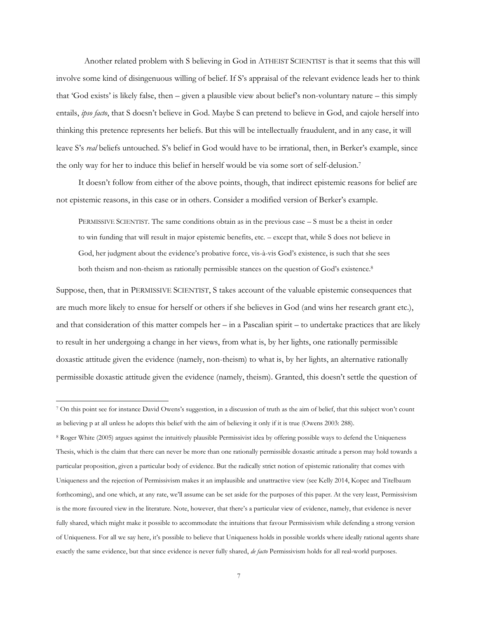Another related problem with S believing in God in ATHEIST SCIENTIST is that it seems that this will involve some kind of disingenuous willing of belief. If S's appraisal of the relevant evidence leads her to think that 'God exists' is likely false, then – given a plausible view about belief's non-voluntary nature – this simply entails, *ipso facto*, that S doesn't believe in God. Maybe S can pretend to believe in God, and cajole herself into thinking this pretence represents her beliefs. But this will be intellectually fraudulent, and in any case, it will leave S's *real* beliefs untouched. S's belief in God would have to be irrational, then, in Berker's example, since the only way for her to induce this belief in herself would be via some sort of self-delusion. 7

It doesn't follow from either of the above points, though, that indirect epistemic reasons for belief are not epistemic reasons, in this case or in others. Consider a modified version of Berker's example.

PERMISSIVE SCIENTIST. The same conditions obtain as in the previous case – S must be a theist in order to win funding that will result in major epistemic benefits, etc. – except that, while S does not believe in God, her judgment about the evidence's probative force, vis-à-vis God's existence, is such that she sees both theism and non-theism as rationally permissible stances on the question of God's existence.<sup>8</sup>

Suppose, then, that in PERMISSIVE SCIENTIST, S takes account of the valuable epistemic consequences that are much more likely to ensue for herself or others if she believes in God (and wins her research grant etc.), and that consideration of this matter compels her – in a Pascalian spirit – to undertake practices that are likely to result in her undergoing a change in her views, from what is, by her lights, one rationally permissible doxastic attitude given the evidence (namely, non-theism) to what is, by her lights, an alternative rationally permissible doxastic attitude given the evidence (namely, theism). Granted, this doesn't settle the question of

 $\overline{\phantom{a}}$ 

<sup>7</sup> On this point see for instance David Owens's suggestion, in a discussion of truth as the aim of belief, that this subject won't count as believing p at all unless he adopts this belief with the aim of believing it only if it is true (Owens 2003: 288).

<sup>8</sup> Roger White (2005) argues against the intuitively plausible Permissivist idea by offering possible ways to defend the Uniqueness Thesis, which is the claim that there can never be more than one rationally permissible doxastic attitude a person may hold towards a particular proposition, given a particular body of evidence. But the radically strict notion of epistemic rationality that comes with Uniqueness and the rejection of Permissivism makes it an implausible and unattractive view (see Kelly 2014, Kopec and Titelbaum forthcoming), and one which, at any rate, we'll assume can be set aside for the purposes of this paper. At the very least, Permissivism is the more favoured view in the literature. Note, however, that there's a particular view of evidence, namely, that evidence is never fully shared, which might make it possible to accommodate the intuitions that favour Permissivism while defending a strong version of Uniqueness. For all we say here, it's possible to believe that Uniqueness holds in possible worlds where ideally rational agents share exactly the same evidence, but that since evidence is never fully shared, *de facto* Permissivism holds for all real-world purposes.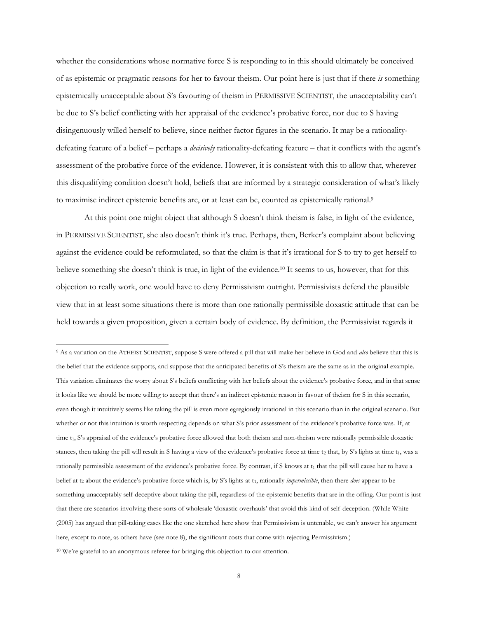whether the considerations whose normative force S is responding to in this should ultimately be conceived of as epistemic or pragmatic reasons for her to favour theism. Our point here is just that if there *is* something epistemically unacceptable about S's favouring of theism in PERMISSIVE SCIENTIST, the unacceptability can't be due to S's belief conflicting with her appraisal of the evidence's probative force, nor due to S having disingenuously willed herself to believe, since neither factor figures in the scenario. It may be a rationalitydefeating feature of a belief – perhaps a *decisively* rationality-defeating feature – that it conflicts with the agent's assessment of the probative force of the evidence. However, it is consistent with this to allow that, wherever this disqualifying condition doesn't hold, beliefs that are informed by a strategic consideration of what's likely to maximise indirect epistemic benefits are, or at least can be, counted as epistemically rational.<sup>9</sup>

At this point one might object that although S doesn't think theism is false, in light of the evidence, in PERMISSIVE SCIENTIST, she also doesn't think it's true. Perhaps, then, Berker's complaint about believing against the evidence could be reformulated, so that the claim is that it's irrational for S to try to get herself to believe something she doesn't think is true, in light of the evidence. <sup>10</sup> It seems to us, however, that for this objection to really work, one would have to deny Permissivism outright. Permissivists defend the plausible view that in at least some situations there is more than one rationally permissible doxastic attitude that can be held towards a given proposition, given a certain body of evidence. By definition, the Permissivist regards it

l

<sup>9</sup> As a variation on the ATHEIST SCIENTIST, suppose S were offered a pill that will make her believe in God and *also* believe that this is the belief that the evidence supports, and suppose that the anticipated benefits of S's theism are the same as in the original example. This variation eliminates the worry about S's beliefs conflicting with her beliefs about the evidence's probative force, and in that sense it looks like we should be more willing to accept that there's an indirect epistemic reason in favour of theism for S in this scenario, even though it intuitively seems like taking the pill is even more egregiously irrational in this scenario than in the original scenario. But whether or not this intuition is worth respecting depends on what S's prior assessment of the evidence's probative force was. If, at time t<sub>1</sub>, S's appraisal of the evidence's probative force allowed that both theism and non-theism were rationally permissible doxastic stances, then taking the pill will result in S having a view of the evidence's probative force at time  $t_2$  that, by S's lights at time  $t_1$ , was a rationally permissible assessment of the evidence's probative force. By contrast, if S knows at  $t_1$  that the pill will cause her to have a belief at t<sub>2</sub> about the evidence's probative force which is, by S's lights at t<sub>1</sub>, rationally *impermissible*, then there *does* appear to be something unacceptably self-deceptive about taking the pill, regardless of the epistemic benefits that are in the offing. Our point is just that there are scenarios involving these sorts of wholesale 'doxastic overhauls' that avoid this kind of self-deception. (While White (2005) has argued that pill-taking cases like the one sketched here show that Permissivism is untenable, we can't answer his argument here, except to note, as others have (see note 8), the significant costs that come with rejecting Permissivism.) <sup>10</sup> We're grateful to an anonymous referee for bringing this objection to our attention.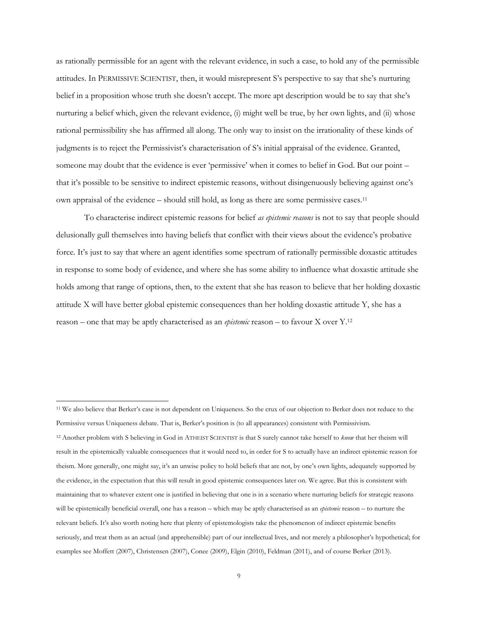as rationally permissible for an agent with the relevant evidence, in such a case, to hold any of the permissible attitudes. In PERMISSIVE SCIENTIST, then, it would misrepresent S's perspective to say that she's nurturing belief in a proposition whose truth she doesn't accept. The more apt description would be to say that she's nurturing a belief which, given the relevant evidence, (i) might well be true, by her own lights, and (ii) whose rational permissibility she has affirmed all along. The only way to insist on the irrationality of these kinds of judgments is to reject the Permissivist's characterisation of S's initial appraisal of the evidence. Granted, someone may doubt that the evidence is ever 'permissive' when it comes to belief in God. But our point – that it's possible to be sensitive to indirect epistemic reasons, without disingenuously believing against one's own appraisal of the evidence – should still hold, as long as there are some permissive cases. 11

To characterise indirect epistemic reasons for belief *as epistemic reasons* is not to say that people should delusionally gull themselves into having beliefs that conflict with their views about the evidence's probative force. It's just to say that where an agent identifies some spectrum of rationally permissible doxastic attitudes in response to some body of evidence, and where she has some ability to influence what doxastic attitude she holds among that range of options, then, to the extent that she has reason to believe that her holding doxastic attitude X will have better global epistemic consequences than her holding doxastic attitude Y, she has a reason – one that may be aptly characterised as an *epistemic* reason – to favour X over Y.<sup>12</sup>

 $\overline{\phantom{a}}$ 

<sup>11</sup> We also believe that Berker's case is not dependent on Uniqueness. So the crux of our objection to Berker does not reduce to the Permissive versus Uniqueness debate. That is, Berker's position is (to all appearances) consistent with Permissivism. <sup>12</sup> Another problem with S believing in God in ATHEIST SCIENTIST is that S surely cannot take herself to *know* that her theism will result in the epistemically valuable consequences that it would need to, in order for S to actually have an indirect epistemic reason for theism. More generally, one might say, it's an unwise policy to hold beliefs that are not, by one's own lights, adequately supported by the evidence, in the expectation that this will result in good epistemic consequences later on. We agree. But this is consistent with maintaining that to whatever extent one is justified in believing that one is in a scenario where nurturing beliefs for strategic reasons will be epistemically beneficial overall, one has a reason – which may be aptly characterised as an *epistemic* reason – to nurture the relevant beliefs. It's also worth noting here that plenty of epistemologists take the phenomenon of indirect epistemic benefits seriously, and treat them as an actual (and apprehensible) part of our intellectual lives, and not merely a philosopher's hypothetical; for examples see Moffett (2007), Christensen (2007), Conee (2009), Elgin (2010), Feldman (2011), and of course Berker (2013).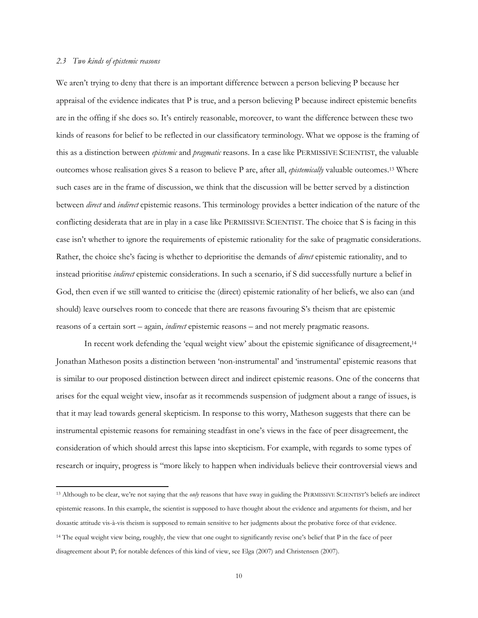#### *2.3 Two kinds of epistemic reasons*

l

We aren't trying to deny that there is an important difference between a person believing P because her appraisal of the evidence indicates that P is true, and a person believing P because indirect epistemic benefits are in the offing if she does so. It's entirely reasonable, moreover, to want the difference between these two kinds of reasons for belief to be reflected in our classificatory terminology. What we oppose is the framing of this as a distinction between *epistemic* and *pragmatic* reasons. In a case like PERMISSIVE SCIENTIST, the valuable outcomes whose realisation gives S a reason to believe P are, after all, *epistemically* valuable outcomes. <sup>13</sup> Where such cases are in the frame of discussion, we think that the discussion will be better served by a distinction between *direct* and *indirect* epistemic reasons. This terminology provides a better indication of the nature of the conflicting desiderata that are in play in a case like PERMISSIVE SCIENTIST. The choice that S is facing in this case isn't whether to ignore the requirements of epistemic rationality for the sake of pragmatic considerations. Rather, the choice she's facing is whether to deprioritise the demands of *direct* epistemic rationality, and to instead prioritise *indirect* epistemic considerations. In such a scenario, if S did successfully nurture a belief in God, then even if we still wanted to criticise the (direct) epistemic rationality of her beliefs, we also can (and should) leave ourselves room to concede that there are reasons favouring S's theism that are epistemic reasons of a certain sort – again, *indirect* epistemic reasons – and not merely pragmatic reasons.

In recent work defending the 'equal weight view' about the epistemic significance of disagreement,<sup>14</sup> Jonathan Matheson posits a distinction between 'non-instrumental' and 'instrumental' epistemic reasons that is similar to our proposed distinction between direct and indirect epistemic reasons. One of the concerns that arises for the equal weight view, insofar as it recommends suspension of judgment about a range of issues, is that it may lead towards general skepticism. In response to this worry, Matheson suggests that there can be instrumental epistemic reasons for remaining steadfast in one's views in the face of peer disagreement, the consideration of which should arrest this lapse into skepticism. For example, with regards to some types of research or inquiry, progress is "more likely to happen when individuals believe their controversial views and

<sup>&</sup>lt;sup>13</sup> Although to be clear, we're not saying that the *only* reasons that have sway in guiding the PERMISSIVE SCIENTIST'S beliefs are indirect epistemic reasons. In this example, the scientist is supposed to have thought about the evidence and arguments for theism, and her doxastic attitude vis-à-vis theism is supposed to remain sensitive to her judgments about the probative force of that evidence. <sup>14</sup> The equal weight view being, roughly, the view that one ought to significantly revise one's belief that P in the face of peer disagreement about P; for notable defences of this kind of view, see Elga (2007) and Christensen (2007).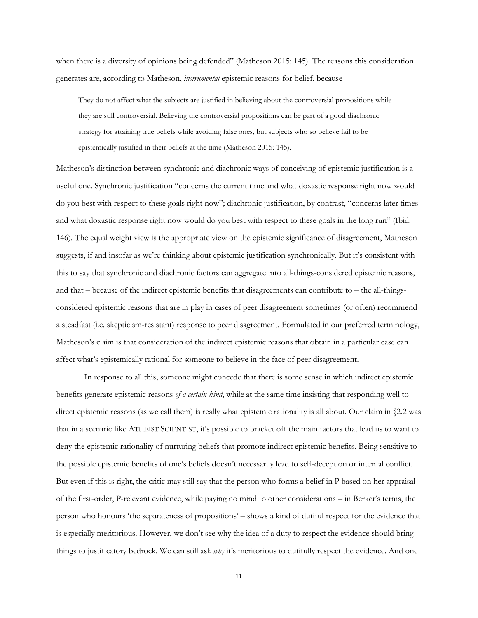when there is a diversity of opinions being defended" (Matheson 2015: 145). The reasons this consideration generates are, according to Matheson, *instrumental* epistemic reasons for belief, because

They do not affect what the subjects are justified in believing about the controversial propositions while they are still controversial. Believing the controversial propositions can be part of a good diachronic strategy for attaining true beliefs while avoiding false ones, but subjects who so believe fail to be epistemically justified in their beliefs at the time (Matheson 2015: 145).

Matheson's distinction between synchronic and diachronic ways of conceiving of epistemic justification is a useful one. Synchronic justification "concerns the current time and what doxastic response right now would do you best with respect to these goals right now"; diachronic justification, by contrast, "concerns later times and what doxastic response right now would do you best with respect to these goals in the long run" (Ibid: 146). The equal weight view is the appropriate view on the epistemic significance of disagreement, Matheson suggests, if and insofar as we're thinking about epistemic justification synchronically. But it's consistent with this to say that synchronic and diachronic factors can aggregate into all-things-considered epistemic reasons, and that – because of the indirect epistemic benefits that disagreements can contribute to – the all-thingsconsidered epistemic reasons that are in play in cases of peer disagreement sometimes (or often) recommend a steadfast (i.e. skepticism-resistant) response to peer disagreement. Formulated in our preferred terminology, Matheson's claim is that consideration of the indirect epistemic reasons that obtain in a particular case can affect what's epistemically rational for someone to believe in the face of peer disagreement.

In response to all this, someone might concede that there is some sense in which indirect epistemic benefits generate epistemic reasons *of a certain kind*, while at the same time insisting that responding well to direct epistemic reasons (as we call them) is really what epistemic rationality is all about. Our claim in §2.2 was that in a scenario like ATHEIST SCIENTIST, it's possible to bracket off the main factors that lead us to want to deny the epistemic rationality of nurturing beliefs that promote indirect epistemic benefits. Being sensitive to the possible epistemic benefits of one's beliefs doesn't necessarily lead to self-deception or internal conflict. But even if this is right, the critic may still say that the person who forms a belief in P based on her appraisal of the first-order, P-relevant evidence, while paying no mind to other considerations – in Berker's terms, the person who honours 'the separateness of propositions' – shows a kind of dutiful respect for the evidence that is especially meritorious. However, we don't see why the idea of a duty to respect the evidence should bring things to justificatory bedrock. We can still ask *why* it's meritorious to dutifully respect the evidence. And one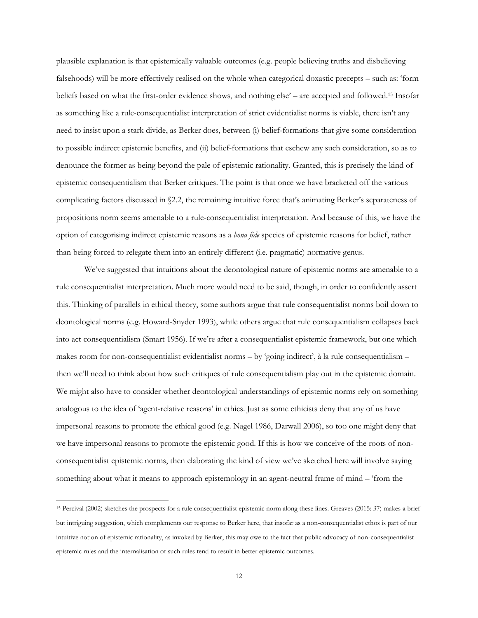plausible explanation is that epistemically valuable outcomes (e.g. people believing truths and disbelieving falsehoods) will be more effectively realised on the whole when categorical doxastic precepts – such as: 'form beliefs based on what the first-order evidence shows, and nothing else' – are accepted and followed. <sup>15</sup> Insofar as something like a rule-consequentialist interpretation of strict evidentialist norms is viable, there isn't any need to insist upon a stark divide, as Berker does, between (i) belief-formations that give some consideration to possible indirect epistemic benefits, and (ii) belief-formations that eschew any such consideration, so as to denounce the former as being beyond the pale of epistemic rationality. Granted, this is precisely the kind of epistemic consequentialism that Berker critiques. The point is that once we have bracketed off the various complicating factors discussed in §2.2, the remaining intuitive force that's animating Berker's separateness of propositions norm seems amenable to a rule-consequentialist interpretation. And because of this, we have the option of categorising indirect epistemic reasons as a *bona fide* species of epistemic reasons for belief, rather than being forced to relegate them into an entirely different (i.e. pragmatic) normative genus.

We've suggested that intuitions about the deontological nature of epistemic norms are amenable to a rule consequentialist interpretation. Much more would need to be said, though, in order to confidently assert this. Thinking of parallels in ethical theory, some authors argue that rule consequentialist norms boil down to deontological norms (e.g. Howard-Snyder 1993), while others argue that rule consequentialism collapses back into act consequentialism (Smart 1956). If we're after a consequentialist epistemic framework, but one which makes room for non-consequentialist evidentialist norms – by 'going indirect', à la rule consequentialism – then we'll need to think about how such critiques of rule consequentialism play out in the epistemic domain. We might also have to consider whether deontological understandings of epistemic norms rely on something analogous to the idea of 'agent-relative reasons' in ethics. Just as some ethicists deny that any of us have impersonal reasons to promote the ethical good (e.g. Nagel 1986, Darwall 2006), so too one might deny that we have impersonal reasons to promote the epistemic good. If this is how we conceive of the roots of nonconsequentialist epistemic norms, then elaborating the kind of view we've sketched here will involve saying something about what it means to approach epistemology in an agent-neutral frame of mind – 'from the

<sup>15</sup> Percival (2002) sketches the prospects for a rule consequentialist epistemic norm along these lines. Greaves (2015: 37) makes a brief but intriguing suggestion, which complements our response to Berker here, that insofar as a non-consequentialist ethos is part of our intuitive notion of epistemic rationality, as invoked by Berker, this may owe to the fact that public advocacy of non-consequentialist epistemic rules and the internalisation of such rules tend to result in better epistemic outcomes.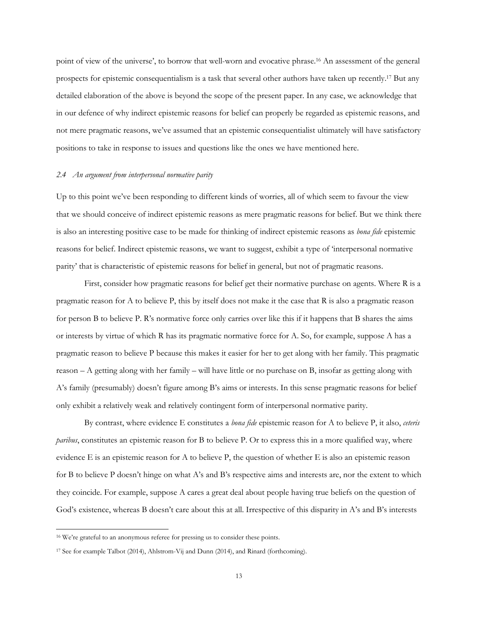point of view of the universe', to borrow that well-worn and evocative phrase. <sup>16</sup> An assessment of the general prospects for epistemic consequentialism is a task that several other authors have taken up recently.<sup>17</sup> But any detailed elaboration of the above is beyond the scope of the present paper. In any case, we acknowledge that in our defence of why indirect epistemic reasons for belief can properly be regarded as epistemic reasons, and not mere pragmatic reasons, we've assumed that an epistemic consequentialist ultimately will have satisfactory positions to take in response to issues and questions like the ones we have mentioned here.

#### *2.4 An argument from interpersonal normative parity*

Up to this point we've been responding to different kinds of worries, all of which seem to favour the view that we should conceive of indirect epistemic reasons as mere pragmatic reasons for belief. But we think there is also an interesting positive case to be made for thinking of indirect epistemic reasons as *bona fide* epistemic reasons for belief. Indirect epistemic reasons, we want to suggest, exhibit a type of 'interpersonal normative parity' that is characteristic of epistemic reasons for belief in general, but not of pragmatic reasons.

First, consider how pragmatic reasons for belief get their normative purchase on agents. Where R is a pragmatic reason for A to believe P, this by itself does not make it the case that R is also a pragmatic reason for person B to believe P. R's normative force only carries over like this if it happens that B shares the aims or interests by virtue of which R has its pragmatic normative force for A. So, for example, suppose A has a pragmatic reason to believe P because this makes it easier for her to get along with her family. This pragmatic reason – A getting along with her family – will have little or no purchase on B, insofar as getting along with A's family (presumably) doesn't figure among B's aims or interests. In this sense pragmatic reasons for belief only exhibit a relatively weak and relatively contingent form of interpersonal normative parity.

By contrast, where evidence E constitutes a *bona fide* epistemic reason for A to believe P, it also, *ceteris paribus*, constitutes an epistemic reason for B to believe P. Or to express this in a more qualified way, where evidence E is an epistemic reason for A to believe P, the question of whether E is also an epistemic reason for B to believe P doesn't hinge on what A's and B's respective aims and interests are, nor the extent to which they coincide. For example, suppose A cares a great deal about people having true beliefs on the question of God's existence, whereas B doesn't care about this at all. Irrespective of this disparity in A's and B's interests

<sup>16</sup> We're grateful to an anonymous referee for pressing us to consider these points.

<sup>17</sup> See for example Talbot (2014), Ahlstrom-Vij and Dunn (2014), and Rinard (forthcoming).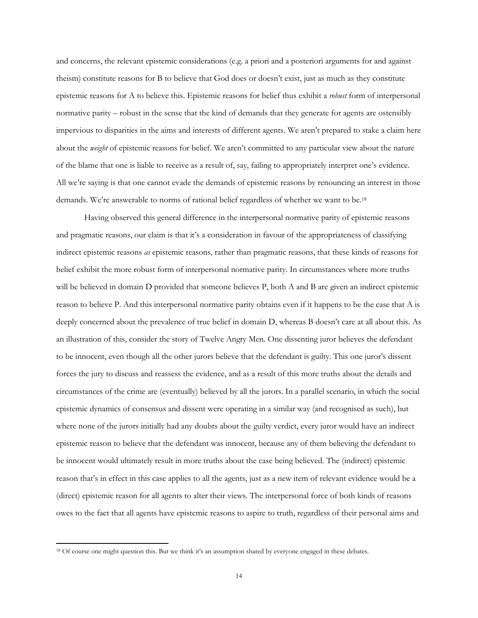and concerns, the relevant epistemic considerations (e.g. a priori and a posteriori arguments for and against theism) constitute reasons for B to believe that God does or doesn't exist, just as much as they constitute epistemic reasons for A to believe this. Epistemic reasons for belief thus exhibit a *robust* form of interpersonal normative parity – robust in the sense that the kind of demands that they generate for agents are ostensibly impervious to disparities in the aims and interests of different agents. We aren't prepared to stake a claim here about the *weight* of epistemic reasons for belief. We aren't committed to any particular view about the nature of the blame that one is liable to receive as a result of, say, failing to appropriately interpret one's evidence. All we're saying is that one cannot evade the demands of epistemic reasons by renouncing an interest in those demands. We're answerable to norms of rational belief regardless of whether we want to be.<sup>18</sup>

Having observed this general difference in the interpersonal normative parity of epistemic reasons and pragmatic reasons, our claim is that it's a consideration in favour of the appropriateness of classifying indirect epistemic reasons *as* epistemic reasons, rather than pragmatic reasons, that these kinds of reasons for belief exhibit the more robust form of interpersonal normative parity. In circumstances where more truths will be believed in domain D provided that someone believes P, both A and B are given an indirect epistemic reason to believe P. And this interpersonal normative parity obtains even if it happens to be the case that A is deeply concerned about the prevalence of true belief in domain D, whereas B doesn't care at all about this. As an illustration of this, consider the story of Twelve Angry Men. One dissenting juror believes the defendant to be innocent, even though all the other jurors believe that the defendant is guilty. This one juror's dissent forces the jury to discuss and reassess the evidence, and as a result of this more truths about the details and circumstances of the crime are (eventually) believed by all the jurors. In a parallel scenario, in which the social epistemic dynamics of consensus and dissent were operating in a similar way (and recognised as such), but where none of the jurors initially had any doubts about the guilty verdict, every juror would have an indirect epistemic reason to believe that the defendant was innocent, because any of them believing the defendant to be innocent would ultimately result in more truths about the case being believed. The (indirect) epistemic reason that's in effect in this case applies to all the agents, just as a new item of relevant evidence would be a (direct) epistemic reason for all agents to alter their views. The interpersonal force of both kinds of reasons owes to the fact that all agents have epistemic reasons to aspire to truth, regardless of their personal aims and

 $\overline{\phantom{a}}$ 

<sup>&</sup>lt;sup>18</sup> Of course one might question this. But we think it's an assumption shared by everyone engaged in these debates.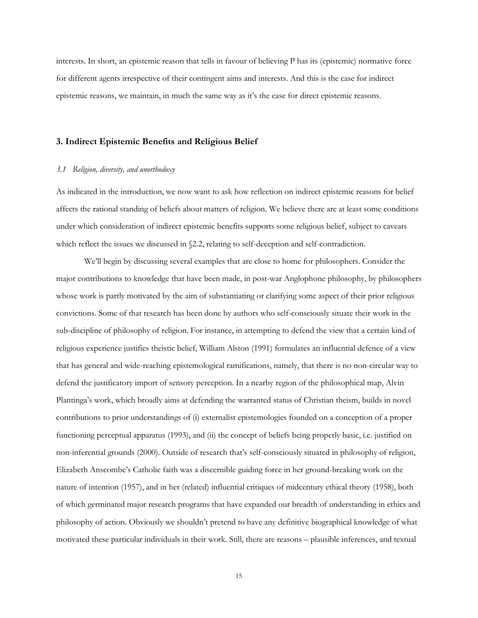interests. In short, an epistemic reason that tells in favour of believing P has its (epistemic) normative force for different agents irrespective of their contingent aims and interests. And this is the case for indirect epistemic reasons, we maintain, in much the same way as it's the case for direct epistemic reasons.

## **3. Indirect Epistemic Benefits and Religious Belief**

#### *3.1 Religion, diversity, and unorthodoxy*

As indicated in the introduction, we now want to ask how reflection on indirect epistemic reasons for belief affects the rational standing of beliefs about matters of religion. We believe there are at least some conditions under which consideration of indirect epistemic benefits supports some religious belief, subject to caveats which reflect the issues we discussed in §2.2, relating to self-deception and self-contradiction.

We'll begin by discussing several examples that are close to home for philosophers. Consider the major contributions to knowledge that have been made, in post-war Anglophone philosophy, by philosophers whose work is partly motivated by the aim of substantiating or clarifying some aspect of their prior religious convictions. Some of that research has been done by authors who self-consciously situate their work in the sub-discipline of philosophy of religion. For instance, in attempting to defend the view that a certain kind of religious experience justifies theistic belief, William Alston (1991) formulates an influential defence of a view that has general and wide-reaching epistemological ramifications, namely, that there is no non-circular way to defend the justificatory import of sensory perception. In a nearby region of the philosophical map, Alvin Plantinga's work, which broadly aims at defending the warranted status of Christian theism, builds in novel contributions to prior understandings of (i) externalist epistemologies founded on a conception of a proper functioning perceptual apparatus (1993), and (ii) the concept of beliefs being properly basic, i.e. justified on non-inferential grounds (2000). Outside of research that's self-consciously situated in philosophy of religion, Elizabeth Anscombe's Catholic faith was a discernible guiding force in her ground-breaking work on the nature of intention (1957), and in her (related) influential critiques of midcentury ethical theory (1958), both of which germinated major research programs that have expanded our breadth of understanding in ethics and philosophy of action. Obviously we shouldn't pretend to have any definitive biographical knowledge of what motivated these particular individuals in their work. Still, there are reasons – plausible inferences, and textual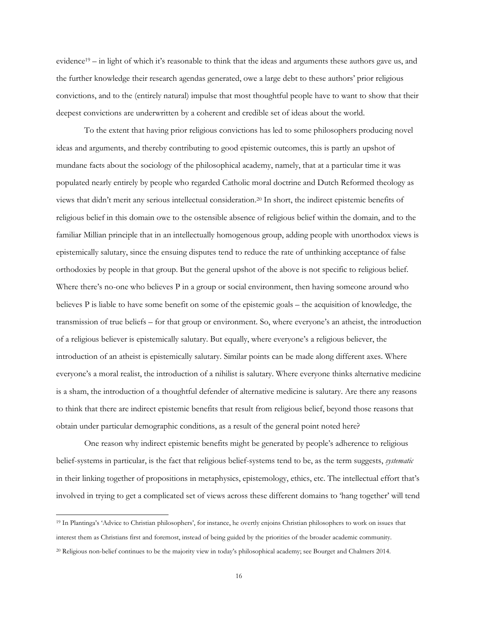evidence<sup>19</sup> – in light of which it's reasonable to think that the ideas and arguments these authors gave us, and the further knowledge their research agendas generated, owe a large debt to these authors' prior religious convictions, and to the (entirely natural) impulse that most thoughtful people have to want to show that their deepest convictions are underwritten by a coherent and credible set of ideas about the world.

To the extent that having prior religious convictions has led to some philosophers producing novel ideas and arguments, and thereby contributing to good epistemic outcomes, this is partly an upshot of mundane facts about the sociology of the philosophical academy, namely, that at a particular time it was populated nearly entirely by people who regarded Catholic moral doctrine and Dutch Reformed theology as views that didn't merit any serious intellectual consideration. <sup>20</sup> In short, the indirect epistemic benefits of religious belief in this domain owe to the ostensible absence of religious belief within the domain, and to the familiar Millian principle that in an intellectually homogenous group, adding people with unorthodox views is epistemically salutary, since the ensuing disputes tend to reduce the rate of unthinking acceptance of false orthodoxies by people in that group. But the general upshot of the above is not specific to religious belief. Where there's no-one who believes P in a group or social environment, then having someone around who believes P is liable to have some benefit on some of the epistemic goals – the acquisition of knowledge, the transmission of true beliefs – for that group or environment. So, where everyone's an atheist, the introduction of a religious believer is epistemically salutary. But equally, where everyone's a religious believer, the introduction of an atheist is epistemically salutary. Similar points can be made along different axes. Where everyone's a moral realist, the introduction of a nihilist is salutary. Where everyone thinks alternative medicine is a sham, the introduction of a thoughtful defender of alternative medicine is salutary. Are there any reasons to think that there are indirect epistemic benefits that result from religious belief, beyond those reasons that obtain under particular demographic conditions, as a result of the general point noted here?

One reason why indirect epistemic benefits might be generated by people's adherence to religious belief-systems in particular, is the fact that religious belief-systems tend to be, as the term suggests, *systematic* in their linking together of propositions in metaphysics, epistemology, ethics, etc. The intellectual effort that's involved in trying to get a complicated set of views across these different domains to 'hang together' will tend

l

<sup>19</sup> In Plantinga's 'Advice to Christian philosophers', for instance, he overtly enjoins Christian philosophers to work on issues that interest them as Christians first and foremost, instead of being guided by the priorities of the broader academic community. <sup>20</sup> Religious non-belief continues to be the majority view in today's philosophical academy; see Bourget and Chalmers 2014.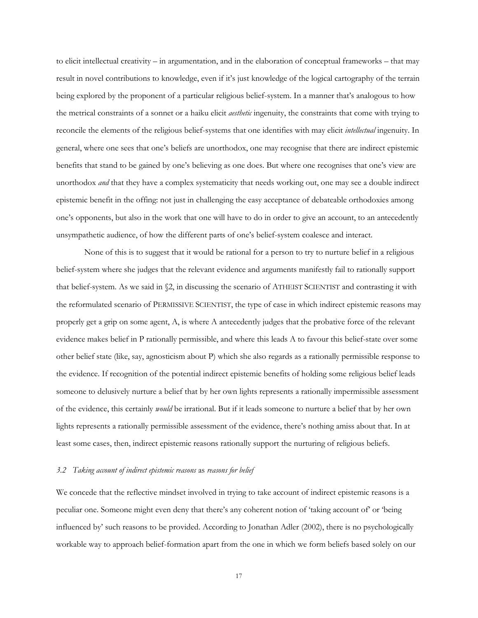to elicit intellectual creativity – in argumentation, and in the elaboration of conceptual frameworks – that may result in novel contributions to knowledge, even if it's just knowledge of the logical cartography of the terrain being explored by the proponent of a particular religious belief-system. In a manner that's analogous to how the metrical constraints of a sonnet or a haiku elicit *aesthetic* ingenuity, the constraints that come with trying to reconcile the elements of the religious belief-systems that one identifies with may elicit *intellectual* ingenuity. In general, where one sees that one's beliefs are unorthodox, one may recognise that there are indirect epistemic benefits that stand to be gained by one's believing as one does. But where one recognises that one's view are unorthodox *and* that they have a complex systematicity that needs working out, one may see a double indirect epistemic benefit in the offing: not just in challenging the easy acceptance of debateable orthodoxies among one's opponents, but also in the work that one will have to do in order to give an account, to an antecedently unsympathetic audience, of how the different parts of one's belief-system coalesce and interact.

None of this is to suggest that it would be rational for a person to try to nurture belief in a religious belief-system where she judges that the relevant evidence and arguments manifestly fail to rationally support that belief-system. As we said in §2, in discussing the scenario of ATHEIST SCIENTIST and contrasting it with the reformulated scenario of PERMISSIVE SCIENTIST, the type of case in which indirect epistemic reasons may properly get a grip on some agent, A, is where A antecedently judges that the probative force of the relevant evidence makes belief in P rationally permissible, and where this leads A to favour this belief-state over some other belief state (like, say, agnosticism about P) which she also regards as a rationally permissible response to the evidence. If recognition of the potential indirect epistemic benefits of holding some religious belief leads someone to delusively nurture a belief that by her own lights represents a rationally impermissible assessment of the evidence, this certainly *would* be irrational. But if it leads someone to nurture a belief that by her own lights represents a rationally permissible assessment of the evidence, there's nothing amiss about that. In at least some cases, then, indirect epistemic reasons rationally support the nurturing of religious beliefs.

#### *3.2 Taking account of indirect epistemic reasons* as *reasons for belief*

We concede that the reflective mindset involved in trying to take account of indirect epistemic reasons is a peculiar one. Someone might even deny that there's any coherent notion of 'taking account of' or 'being influenced by' such reasons to be provided. According to Jonathan Adler (2002), there is no psychologically workable way to approach belief-formation apart from the one in which we form beliefs based solely on our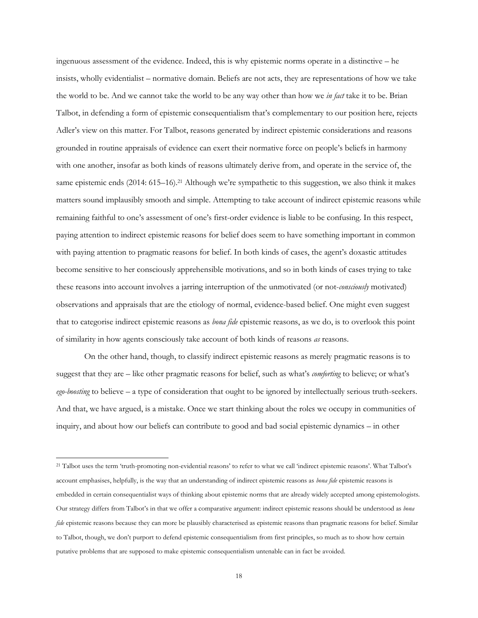ingenuous assessment of the evidence. Indeed, this is why epistemic norms operate in a distinctive – he insists, wholly evidentialist – normative domain. Beliefs are not acts, they are representations of how we take the world to be. And we cannot take the world to be any way other than how we *in fact* take it to be. Brian Talbot, in defending a form of epistemic consequentialism that's complementary to our position here, rejects Adler's view on this matter. For Talbot, reasons generated by indirect epistemic considerations and reasons grounded in routine appraisals of evidence can exert their normative force on people's beliefs in harmony with one another, insofar as both kinds of reasons ultimately derive from, and operate in the service of, the same epistemic ends (2014: 615–16).<sup>21</sup> Although we're sympathetic to this suggestion, we also think it makes matters sound implausibly smooth and simple. Attempting to take account of indirect epistemic reasons while remaining faithful to one's assessment of one's first-order evidence is liable to be confusing. In this respect, paying attention to indirect epistemic reasons for belief does seem to have something important in common with paying attention to pragmatic reasons for belief. In both kinds of cases, the agent's doxastic attitudes become sensitive to her consciously apprehensible motivations, and so in both kinds of cases trying to take these reasons into account involves a jarring interruption of the unmotivated (or not-*consciously* motivated) observations and appraisals that are the etiology of normal, evidence-based belief. One might even suggest that to categorise indirect epistemic reasons as *bona fide* epistemic reasons, as we do, is to overlook this point of similarity in how agents consciously take account of both kinds of reasons *as* reasons.

On the other hand, though, to classify indirect epistemic reasons as merely pragmatic reasons is to suggest that they are – like other pragmatic reasons for belief, such as what's *comforting* to believe; or what's *ego-boosting* to believe – a type of consideration that ought to be ignored by intellectually serious truth-seekers. And that, we have argued, is a mistake. Once we start thinking about the roles we occupy in communities of inquiry, and about how our beliefs can contribute to good and bad social epistemic dynamics – in other

<sup>21</sup> Talbot uses the term 'truth-promoting non-evidential reasons' to refer to what we call 'indirect epistemic reasons'. What Talbot's account emphasises, helpfully, is the way that an understanding of indirect epistemic reasons as *bona fide* epistemic reasons is embedded in certain consequentialist ways of thinking about epistemic norms that are already widely accepted among epistemologists. Our strategy differs from Talbot's in that we offer a comparative argument: indirect epistemic reasons should be understood as *bona fide* epistemic reasons because they can more be plausibly characterised as epistemic reasons than pragmatic reasons for belief. Similar to Talbot, though, we don't purport to defend epistemic consequentialism from first principles, so much as to show how certain putative problems that are supposed to make epistemic consequentialism untenable can in fact be avoided.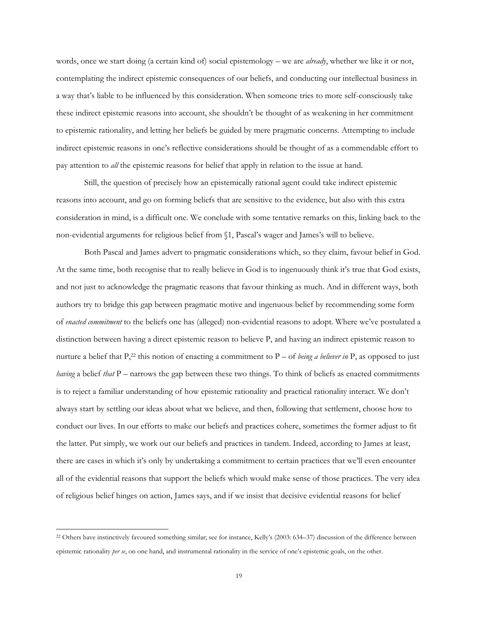words, once we start doing (a certain kind of) social epistemology – we are *already*, whether we like it or not, contemplating the indirect epistemic consequences of our beliefs, and conducting our intellectual business in a way that's liable to be influenced by this consideration. When someone tries to more self-consciously take these indirect epistemic reasons into account, she shouldn't be thought of as weakening in her commitment to epistemic rationality, and letting her beliefs be guided by mere pragmatic concerns. Attempting to include indirect epistemic reasons in one's reflective considerations should be thought of as a commendable effort to pay attention to *all* the epistemic reasons for belief that apply in relation to the issue at hand.

Still, the question of precisely how an epistemically rational agent could take indirect epistemic reasons into account, and go on forming beliefs that are sensitive to the evidence, but also with this extra consideration in mind, is a difficult one. We conclude with some tentative remarks on this, linking back to the non-evidential arguments for religious belief from §1, Pascal's wager and James's will to believe.

Both Pascal and James advert to pragmatic considerations which, so they claim, favour belief in God. At the same time, both recognise that to really believe in God is to ingenuously think it's true that God exists, and not just to acknowledge the pragmatic reasons that favour thinking as much. And in different ways, both authors try to bridge this gap between pragmatic motive and ingenuous belief by recommending some form of *enacted commitment* to the beliefs one has (alleged) non-evidential reasons to adopt. Where we've postulated a distinction between having a direct epistemic reason to believe P, and having an indirect epistemic reason to nurture a belief that  $P_2^2$  this notion of enacting a commitment to  $P -$  of *being a believer* in P, as opposed to just *having* a belief *that* P – narrows the gap between these two things. To think of beliefs as enacted commitments is to reject a familiar understanding of how epistemic rationality and practical rationality interact. We don't always start by settling our ideas about what we believe, and then, following that settlement, choose how to conduct our lives. In our efforts to make our beliefs and practices cohere, sometimes the former adjust to fit the latter. Put simply, we work out our beliefs and practices in tandem. Indeed, according to James at least, there are cases in which it's only by undertaking a commitment to certain practices that we'll even encounter all of the evidential reasons that support the beliefs which would make sense of those practices. The very idea of religious belief hinges on action, James says, and if we insist that decisive evidential reasons for belief

<sup>22</sup> Others have instinctively favoured something similar; see for instance, Kelly's (2003: 634–37) discussion of the difference between epistemic rationality *per se*, on one hand, and instrumental rationality in the service of one's epistemic goals, on the other.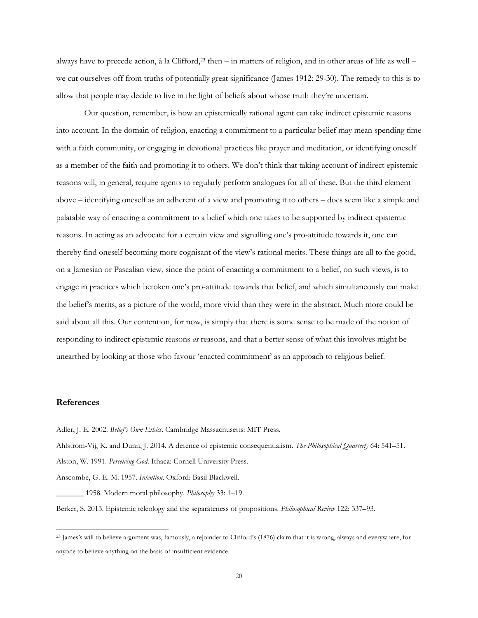always have to precede action, à la Clifford,<sup>23</sup> then – in matters of religion, and in other areas of life as well – we cut ourselves off from truths of potentially great significance (James 1912: 29-30). The remedy to this is to allow that people may decide to live in the light of beliefs about whose truth they're uncertain.

Our question, remember, is how an epistemically rational agent can take indirect epistemic reasons into account. In the domain of religion, enacting a commitment to a particular belief may mean spending time with a faith community, or engaging in devotional practices like prayer and meditation, or identifying oneself as a member of the faith and promoting it to others. We don't think that taking account of indirect epistemic reasons will, in general, require agents to regularly perform analogues for all of these. But the third element above – identifying oneself as an adherent of a view and promoting it to others – does seem like a simple and palatable way of enacting a commitment to a belief which one takes to be supported by indirect epistemic reasons. In acting as an advocate for a certain view and signalling one's pro-attitude towards it, one can thereby find oneself becoming more cognisant of the view's rational merits. These things are all to the good, on a Jamesian or Pascalian view, since the point of enacting a commitment to a belief, on such views, is to engage in practices which betoken one's pro-attitude towards that belief, and which simultaneously can make the belief's merits, as a picture of the world, more vivid than they were in the abstract. Much more could be said about all this. Our contention, for now, is simply that there is some sense to be made of the notion of responding to indirect epistemic reasons *as* reasons, and that a better sense of what this involves might be unearthed by looking at those who favour 'enacted commitment' as an approach to religious belief.

## **References**

 $\overline{a}$ 

Adler, J. E. 2002. *Belief's Own Ethics*. Cambridge Massachusetts: MIT Press.

Ahlstrom-Vij, K. and Dunn, J. 2014. A defence of epistemic consequentialism. *The Philosophical Quarterly* 64: 541–51.

- Alston, W. 1991. *Perceiving God*. Ithaca: Cornell University Press.
- Anscombe, G. E. M. 1957. *Intention*. Oxford: Basil Blackwell.
	- \_\_\_\_\_\_\_ 1958. Modern moral philosophy. *Philosophy* 33: 1–19.

Berker, S. 2013. Epistemic teleology and the separateness of propositions. *Philosophical Review* 122: 337–93.

<sup>23</sup> James's will to believe argument was, famously, a rejoinder to Clifford's (1876) claim that it is wrong, always and everywhere, for anyone to believe anything on the basis of insufficient evidence.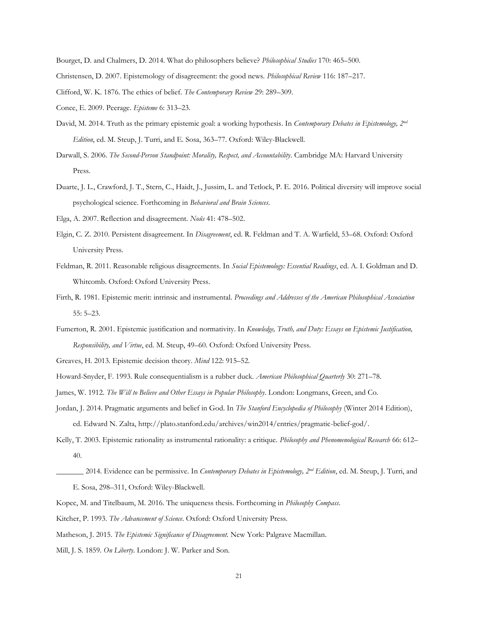- Bourget, D. and Chalmers, D. 2014. What do philosophers believe? *Philosophical Studies* 170: 465–500.
- Christensen, D. 2007. Epistemology of disagreement: the good news. *Philosophical Review* 116: 187–217.
- Clifford, W. K. 1876. The ethics of belief. *The Contemporary Review* 29: 289–309.
- Conee, E. 2009. Peerage. *Episteme* 6: 313–23.
- David, M. 2014. Truth as the primary epistemic goal: a working hypothesis. In *Contemporary Debates in Epistemology, 2nd Edition*, ed. M. Steup, J. Turri, and E. Sosa, 363–77. Oxford: Wiley-Blackwell.
- Darwall, S. 2006. *The Second-Person Standpoint: Morality, Respect, and Accountability*. Cambridge MA: Harvard University Press.
- Duarte, J. L., Crawford, J. T., Stern, C., Haidt, J., Jussim, L. and Tetlock, P. E. 2016. Political diversity will improve social psychological science. Forthcoming in *Behavioral and Brain Sciences*.
- Elga, A. 2007. Reflection and disagreement. *Noûs* 41: 478–502.
- Elgin, C. Z. 2010. Persistent disagreement. In *Disagreement*, ed. R. Feldman and T. A. Warfield, 53–68. Oxford: Oxford University Press.
- Feldman, R. 2011. Reasonable religious disagreements. In *Social Epistemology: Essential Readings*, ed. A. I. Goldman and D. Whitcomb. Oxford: Oxford University Press.
- Firth, R. 1981. Epistemic merit: intrinsic and instrumental. *Proceedings and Addresses of the American Philosophical Association* 55: 5–23.
- Fumerton, R. 2001. Epistemic justification and normativity. In *Knowledge, Truth, and Duty: Essays on Epistemic Justification, Responsibility, and Virtue*, ed. M. Steup, 49–60. Oxford: Oxford University Press.
- Greaves, H. 2013. Epistemic decision theory. *Mind* 122: 915–52.

Howard-Snyder, F. 1993. Rule consequentialism is a rubber duck. *American Philosophical Quarterly* 30: 271–78.

- James, W. 1912. *The Will to Believe and Other Essays in Popular Philosophy*. London: Longmans, Green, and Co.
- Jordan, J. 2014. Pragmatic arguments and belief in God. In *The Stanford Encyclopedia of Philosophy* (Winter 2014 Edition), ed. Edward N. Zalta, [http://plato.stanford.edu/archives/win2014/entries/pragmatic-belief-god/.](http://plato.stanford.edu/archives/win2014/entries/pragmatic-belief-god/)
- Kelly, T. 2003. Epistemic rationality as instrumental rationality: a critique. *Philosophy and Phenomenological Research* 66: 612– 40.
	- \_\_\_\_\_\_\_ 2014. Evidence can be permissive. In *Contemporary Debates in Epistemology, 2nd Edition*, ed. M. Steup, J. Turri, and E. Sosa, 298–311, Oxford: Wiley-Blackwell.
- Kopec, M. and Titelbaum, M. 2016. The uniqueness thesis. Forthcoming in *Philosophy Compass*.
- Kitcher, P. 1993. *The Advancement of Science*. Oxford: Oxford University Press.
- Matheson, J. 2015. *The Epistemic Significance of Disagreement.* New York: Palgrave Macmillan.
- Mill, J. S. 1859. *On Liberty*. London: J. W. Parker and Son.